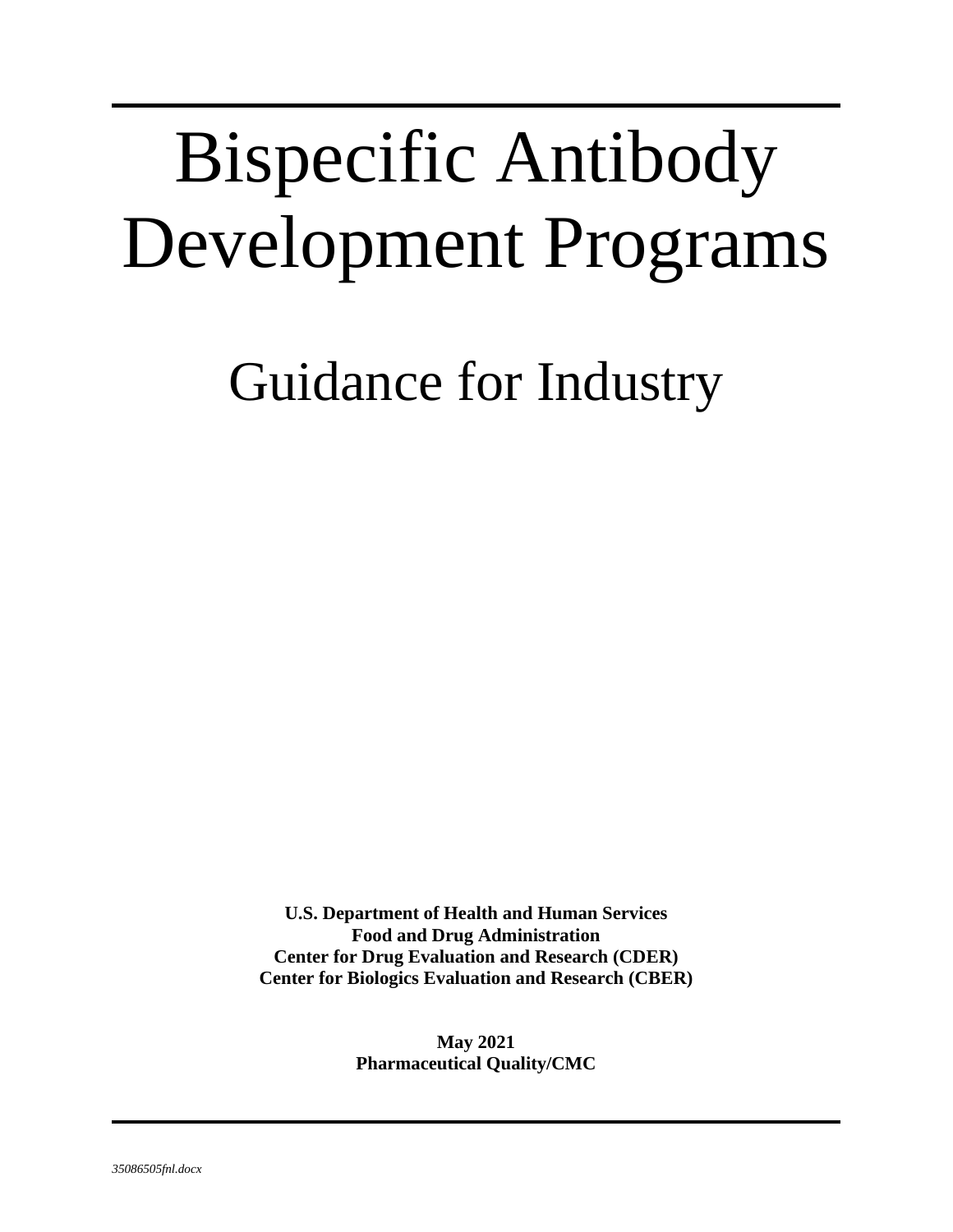# Bispecific Antibody Development Programs

Guidance for Industry

**U.S. Department of Health and Human Services Food and Drug Administration Center for Drug Evaluation and Research (CDER) Center for Biologics Evaluation and Research (CBER)**

> **May 2021 Pharmaceutical Quality/CMC**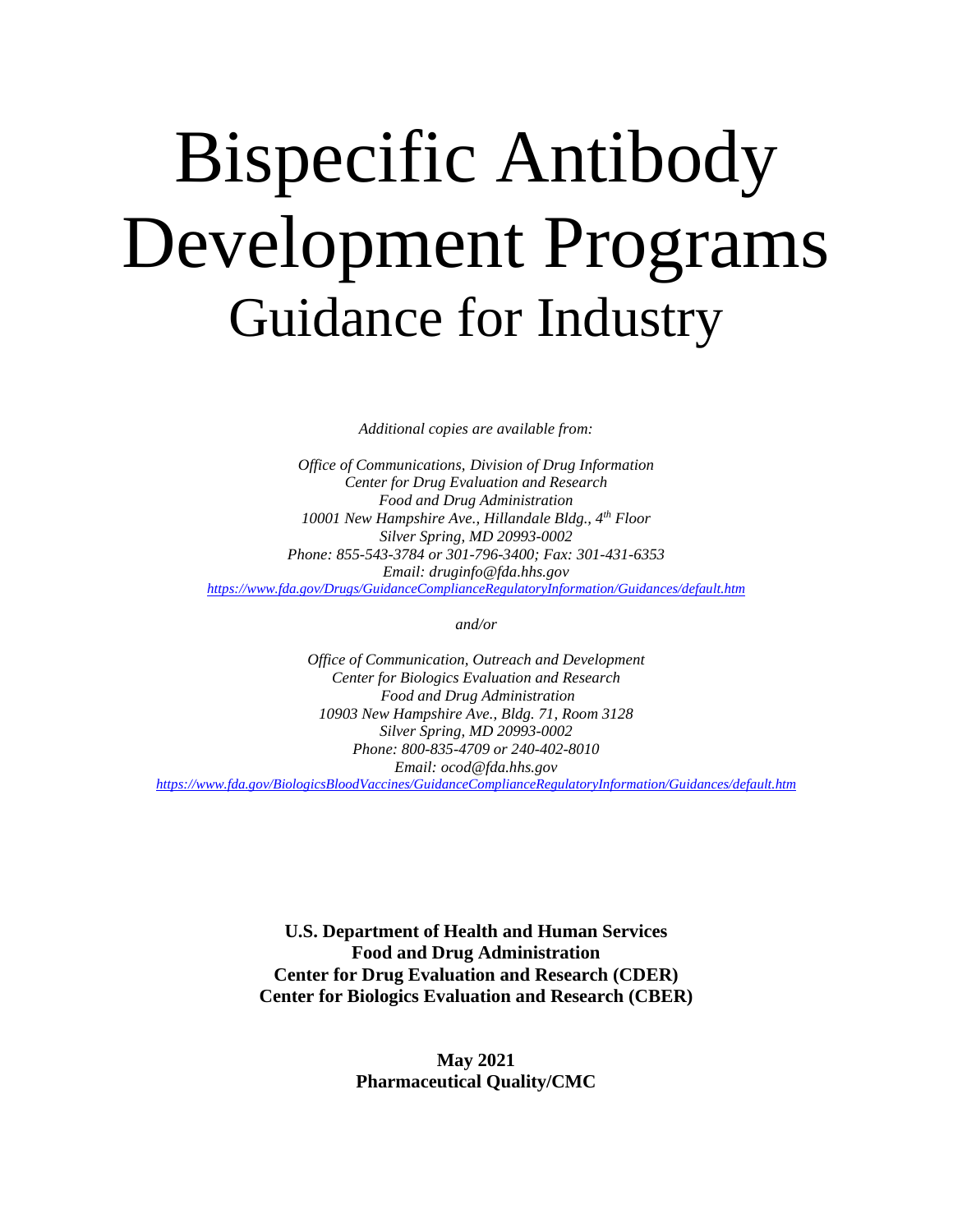## Bispecific Antibody Development Programs Guidance for Industry

*Additional copies are available from:*

*Office of Communications, Division of Drug Information Center for Drug Evaluation and Research Food and Drug Administration 10001 New Hampshire Ave., Hillandale Bldg., 4th Floor Silver Spring, MD 20993-0002 Phone: 855-543-3784 or 301-796-3400; Fax: 301-431-6353 Email: druginfo@fda.hhs.gov <https://www.fda.gov/Drugs/GuidanceComplianceRegulatoryInformation/Guidances/default.htm>*

*and/or*

*Office of Communication, Outreach and Development Center for Biologics Evaluation and Research Food and Drug Administration 10903 New Hampshire Ave., Bldg. 71, Room 3128 Silver Spring, MD 20993-0002 Phone: 800-835-4709 or 240-402-8010 Email: ocod@fda.hhs.gov <https://www.fda.gov/BiologicsBloodVaccines/GuidanceComplianceRegulatoryInformation/Guidances/default.htm>* 

> **U.S. Department of Health and Human Services Food and Drug Administration Center for Drug Evaluation and Research (CDER) Center for Biologics Evaluation and Research (CBER)**

> > **May 2021 Pharmaceutical Quality/CMC**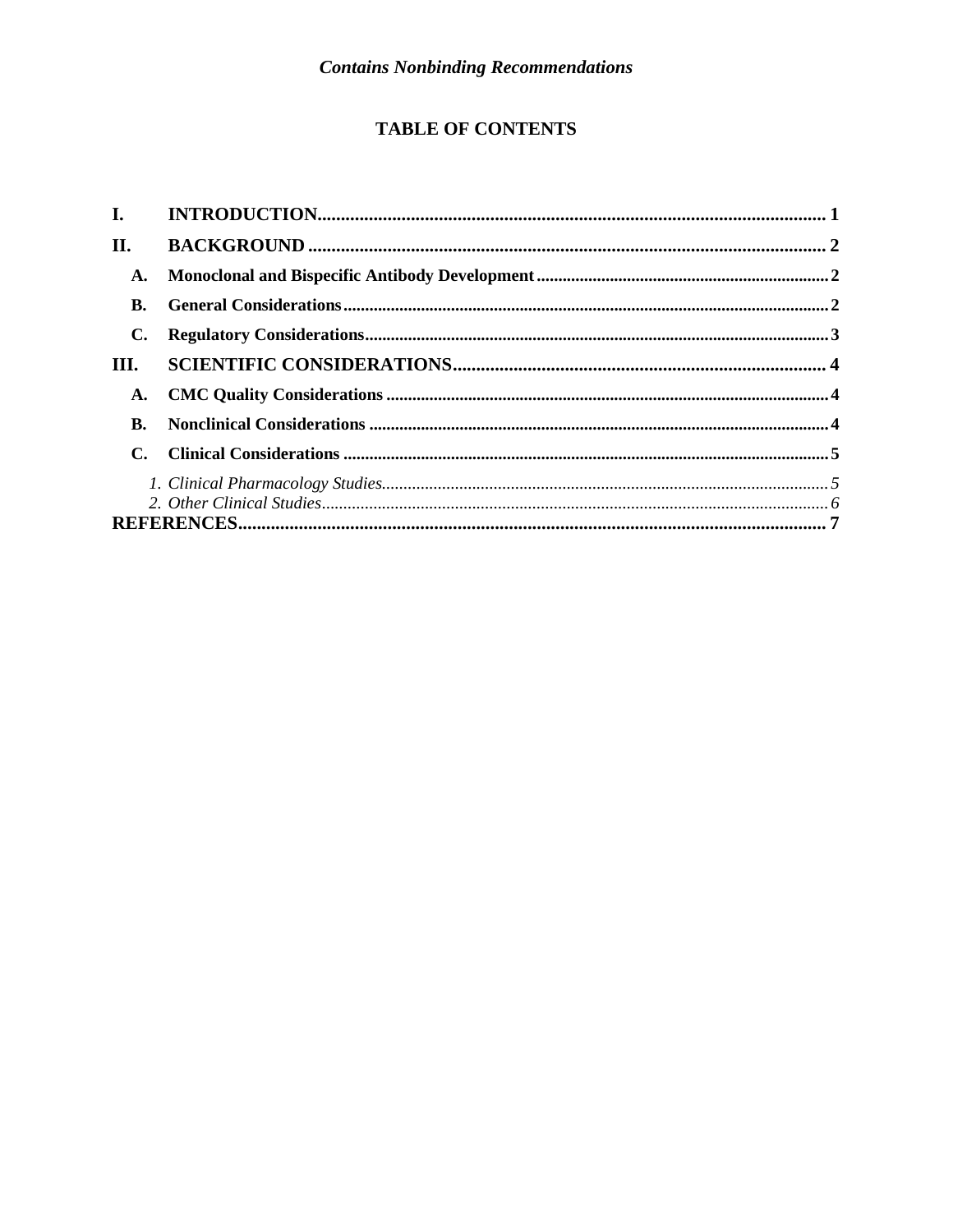#### **TABLE OF CONTENTS**

| $\mathbf{I}$ . |  |
|----------------|--|
| П.             |  |
| A.             |  |
| B.             |  |
| C.             |  |
| III.           |  |
| A.             |  |
| B.             |  |
|                |  |
|                |  |
|                |  |
|                |  |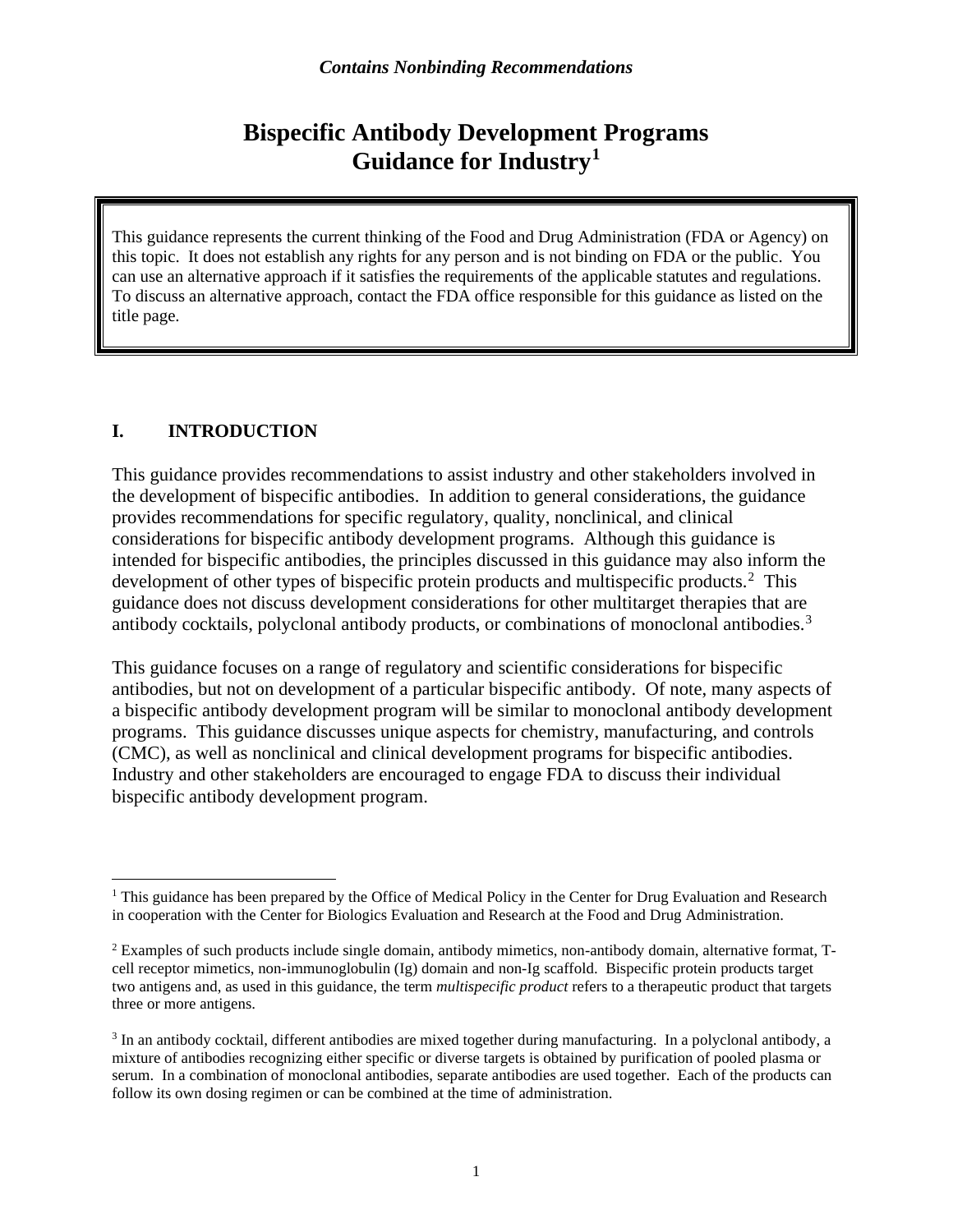### **Bispecific Antibody Development Programs Guidance for Industry[1](#page-3-1)**

This guidance represents the current thinking of the Food and Drug Administration (FDA or Agency) on this topic. It does not establish any rights for any person and is not binding on FDA or the public. You can use an alternative approach if it satisfies the requirements of the applicable statutes and regulations. To discuss an alternative approach, contact the FDA office responsible for this guidance as listed on the title page.

#### <span id="page-3-0"></span>**I. INTRODUCTION**

This guidance provides recommendations to assist industry and other stakeholders involved in the development of bispecific antibodies. In addition to general considerations, the guidance provides recommendations for specific regulatory, quality, nonclinical, and clinical considerations for bispecific antibody development programs. Although this guidance is intended for bispecific antibodies, the principles discussed in this guidance may also inform the development of other types of bispecific protein products and multispecific products. [2](#page-3-2) This guidance does not discuss development considerations for other multitarget therapies that are antibody cocktails, polyclonal antibody products, or combinations of monoclonal antibodies.<sup>[3](#page-3-3)</sup>

This guidance focuses on a range of regulatory and scientific considerations for bispecific antibodies, but not on development of a particular bispecific antibody. Of note, many aspects of a bispecific antibody development program will be similar to monoclonal antibody development programs. This guidance discusses unique aspects for chemistry, manufacturing, and controls (CMC), as well as nonclinical and clinical development programs for bispecific antibodies. Industry and other stakeholders are encouraged to engage FDA to discuss their individual bispecific antibody development program.

<span id="page-3-1"></span><sup>&</sup>lt;sup>1</sup> This guidance has been prepared by the Office of Medical Policy in the Center for Drug Evaluation and Research in cooperation with the Center for Biologics Evaluation and Research at the Food and Drug Administration.

<span id="page-3-2"></span><sup>2</sup> Examples of such products include single domain, antibody mimetics, non-antibody domain, alternative format, Tcell receptor mimetics, non-immunoglobulin (Ig) domain and non-Ig scaffold. Bispecific protein products target two antigens and, as used in this guidance, the term *multispecific product* refers to a therapeutic product that targets three or more antigens.

<span id="page-3-3"></span><sup>3</sup> In an antibody cocktail, different antibodies are mixed together during manufacturing. In a polyclonal antibody, a mixture of antibodies recognizing either specific or diverse targets is obtained by purification of pooled plasma or serum. In a combination of monoclonal antibodies, separate antibodies are used together. Each of the products can follow its own dosing regimen or can be combined at the time of administration.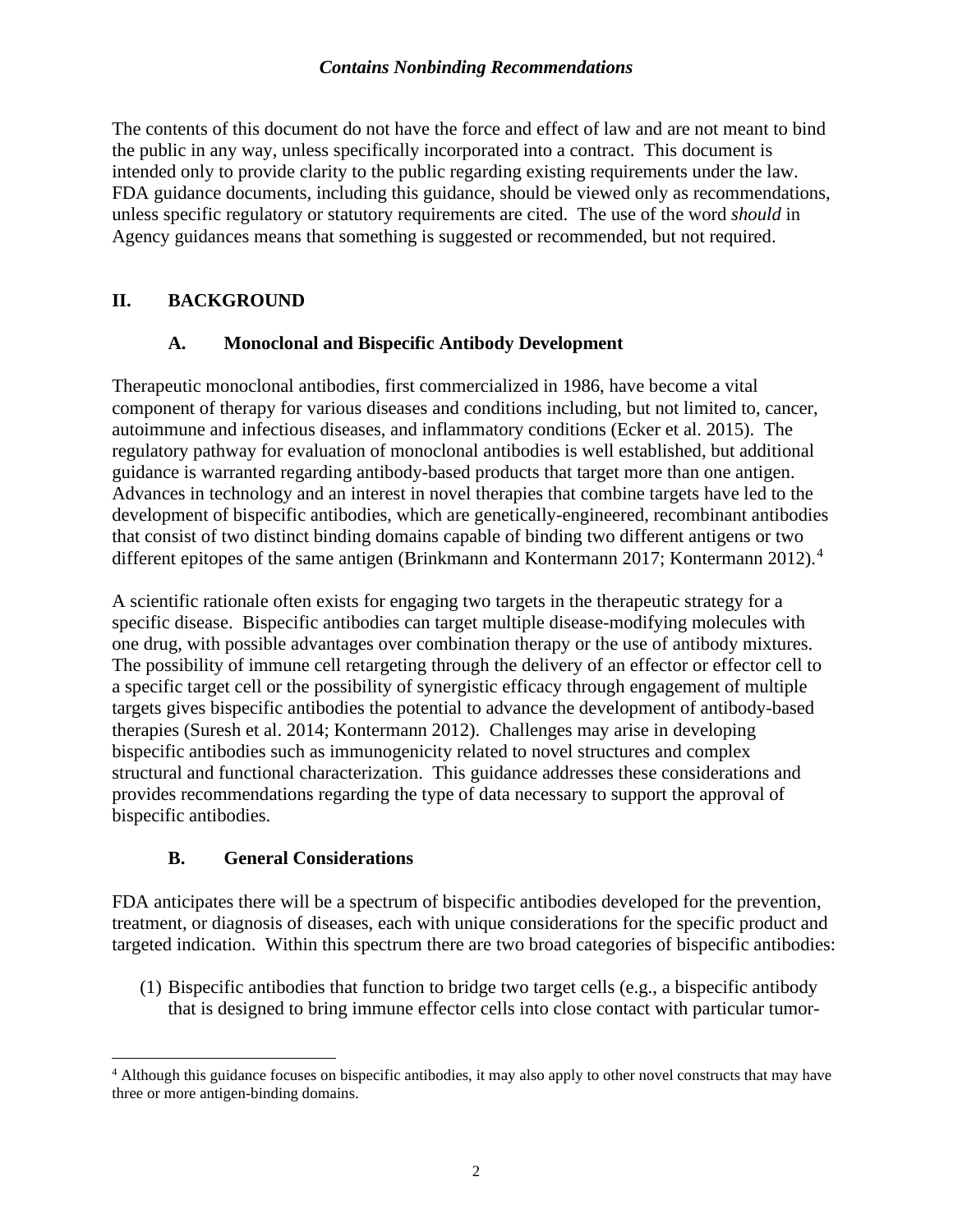The contents of this document do not have the force and effect of law and are not meant to bind the public in any way, unless specifically incorporated into a contract. This document is intended only to provide clarity to the public regarding existing requirements under the law. FDA guidance documents, including this guidance, should be viewed only as recommendations, unless specific regulatory or statutory requirements are cited. The use of the word *should* in Agency guidances means that something is suggested or recommended, but not required.

#### <span id="page-4-0"></span>**II. BACKGROUND**

#### **A. Monoclonal and Bispecific Antibody Development**

<span id="page-4-1"></span>Therapeutic monoclonal antibodies, first commercialized in 1986, have become a vital component of therapy for various diseases and conditions including, but not limited to, cancer, autoimmune and infectious diseases, and inflammatory conditions (Ecker et al. 2015). The regulatory pathway for evaluation of monoclonal antibodies is well established, but additional guidance is warranted regarding antibody-based products that target more than one antigen. Advances in technology and an interest in novel therapies that combine targets have led to the development of bispecific antibodies, which are genetically-engineered, recombinant antibodies that consist of two distinct binding domains capable of binding two different antigens or two different epitopes of the same antigen (Brinkmann and Kontermann 2017; Kontermann 2012).<sup>[4](#page-4-3)</sup>

A scientific rationale often exists for engaging two targets in the therapeutic strategy for a specific disease. Bispecific antibodies can target multiple disease-modifying molecules with one drug, with possible advantages over combination therapy or the use of antibody mixtures. The possibility of immune cell retargeting through the delivery of an effector or effector cell to a specific target cell or the possibility of synergistic efficacy through engagement of multiple targets gives bispecific antibodies the potential to advance the development of antibody-based therapies (Suresh et al. 2014; Kontermann 2012). Challenges may arise in developing bispecific antibodies such as immunogenicity related to novel structures and complex structural and functional characterization. This guidance addresses these considerations and provides recommendations regarding the type of data necessary to support the approval of bispecific antibodies.

#### **B. General Considerations**

<span id="page-4-2"></span>FDA anticipates there will be a spectrum of bispecific antibodies developed for the prevention, treatment, or diagnosis of diseases, each with unique considerations for the specific product and targeted indication. Within this spectrum there are two broad categories of bispecific antibodies:

(1) Bispecific antibodies that function to bridge two target cells (e.g., a bispecific antibody that is designed to bring immune effector cells into close contact with particular tumor-

<span id="page-4-3"></span><sup>4</sup> Although this guidance focuses on bispecific antibodies, it may also apply to other novel constructs that may have three or more antigen-binding domains.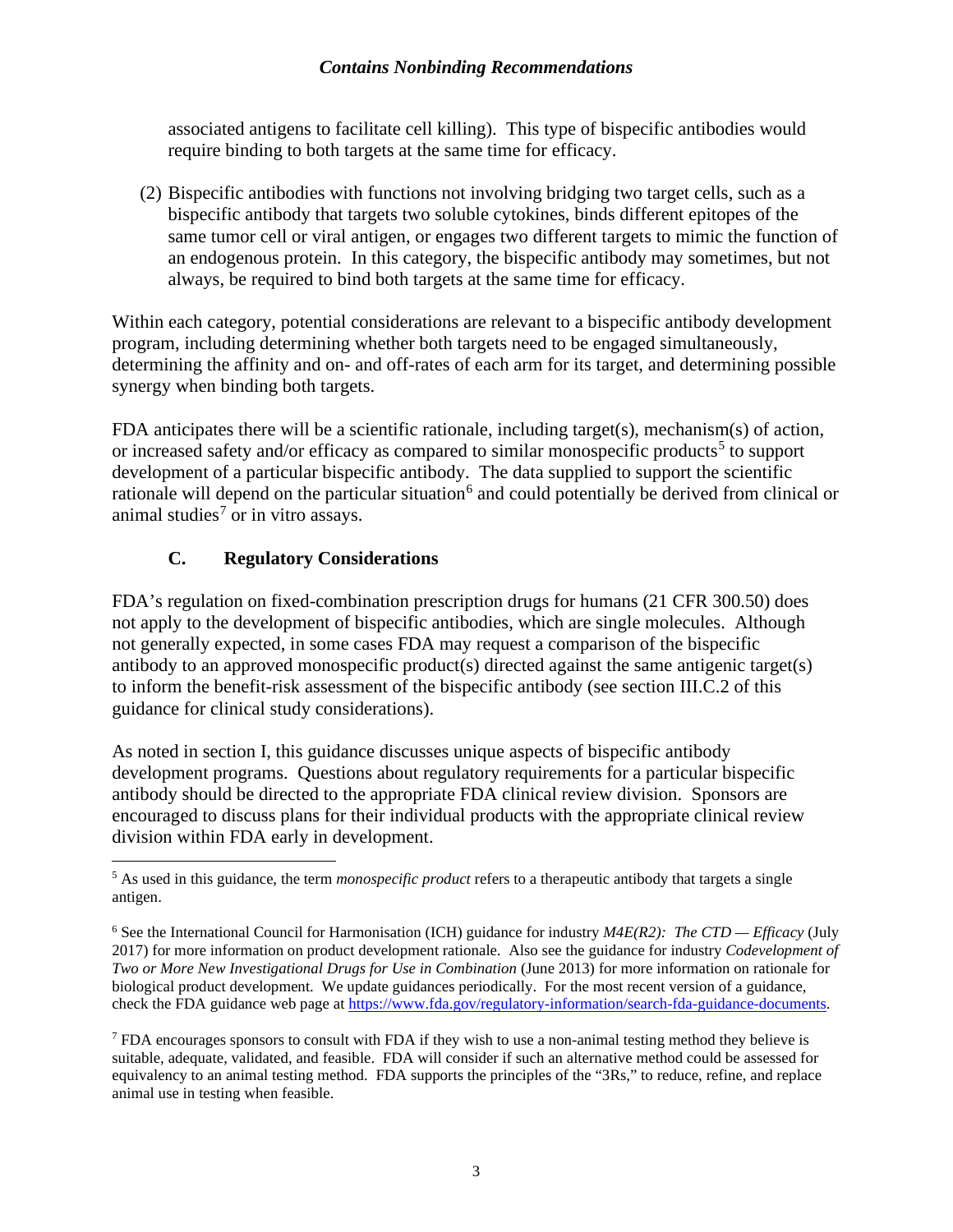associated antigens to facilitate cell killing). This type of bispecific antibodies would require binding to both targets at the same time for efficacy.

(2) Bispecific antibodies with functions not involving bridging two target cells, such as a bispecific antibody that targets two soluble cytokines, binds different epitopes of the same tumor cell or viral antigen, or engages two different targets to mimic the function of an endogenous protein. In this category, the bispecific antibody may sometimes, but not always, be required to bind both targets at the same time for efficacy.

Within each category, potential considerations are relevant to a bispecific antibody development program, including determining whether both targets need to be engaged simultaneously, determining the affinity and on- and off-rates of each arm for its target, and determining possible synergy when binding both targets.

FDA anticipates there will be a scientific rationale, including target(s), mechanism(s) of action, or increased safety and/or efficacy as compared to similar monospecific products<sup>[5](#page-5-1)</sup> to support development of a particular bispecific antibody. The data supplied to support the scientific rationale will depend on the particular situation<sup>[6](#page-5-2)</sup> and could potentially be derived from clinical or animal studies<sup>[7](#page-5-3)</sup> or in vitro assays.

#### **C. Regulatory Considerations**

<span id="page-5-0"></span>FDA's regulation on fixed-combination prescription drugs for humans (21 CFR 300.50) does not apply to the development of bispecific antibodies, which are single molecules. Although not generally expected, in some cases FDA may request a comparison of the bispecific antibody to an approved monospecific product(s) directed against the same antigenic target(s) to inform the benefit-risk assessment of the bispecific antibody (see section III.C.2 of this guidance for clinical study considerations).

As noted in section I, this guidance discusses unique aspects of bispecific antibody development programs. Questions about regulatory requirements for a particular bispecific antibody should be directed to the appropriate FDA clinical review division. Sponsors are encouraged to discuss plans for their individual products with the appropriate clinical review division within FDA early in development.

<span id="page-5-1"></span><sup>5</sup> As used in this guidance, the term *monospecific product* refers to a therapeutic antibody that targets a single antigen.

<span id="page-5-2"></span><sup>6</sup> See the International Council for Harmonisation (ICH) guidance for industry *M4E(R2): The CTD — Efficacy* (July 2017) for more information on product development rationale. Also see the guidance for industry *Codevelopment of Two or More New Investigational Drugs for Use in Combination* (June 2013) for more information on rationale for biological product development. We update guidances periodically. For the most recent version of a guidance, check the FDA guidance web page at [https://www.fda.gov/regulatory-information/search-fda-guidance-documents.](https://www.fda.gov/regulatory-information/search-fda-guidance-documents)

<span id="page-5-3"></span> $<sup>7</sup>$  FDA encourages sponsors to consult with FDA if they wish to use a non-animal testing method they believe is</sup> suitable, adequate, validated, and feasible. FDA will consider if such an alternative method could be assessed for equivalency to an animal testing method. FDA supports the principles of the "3Rs," to reduce, refine, and replace animal use in testing when feasible.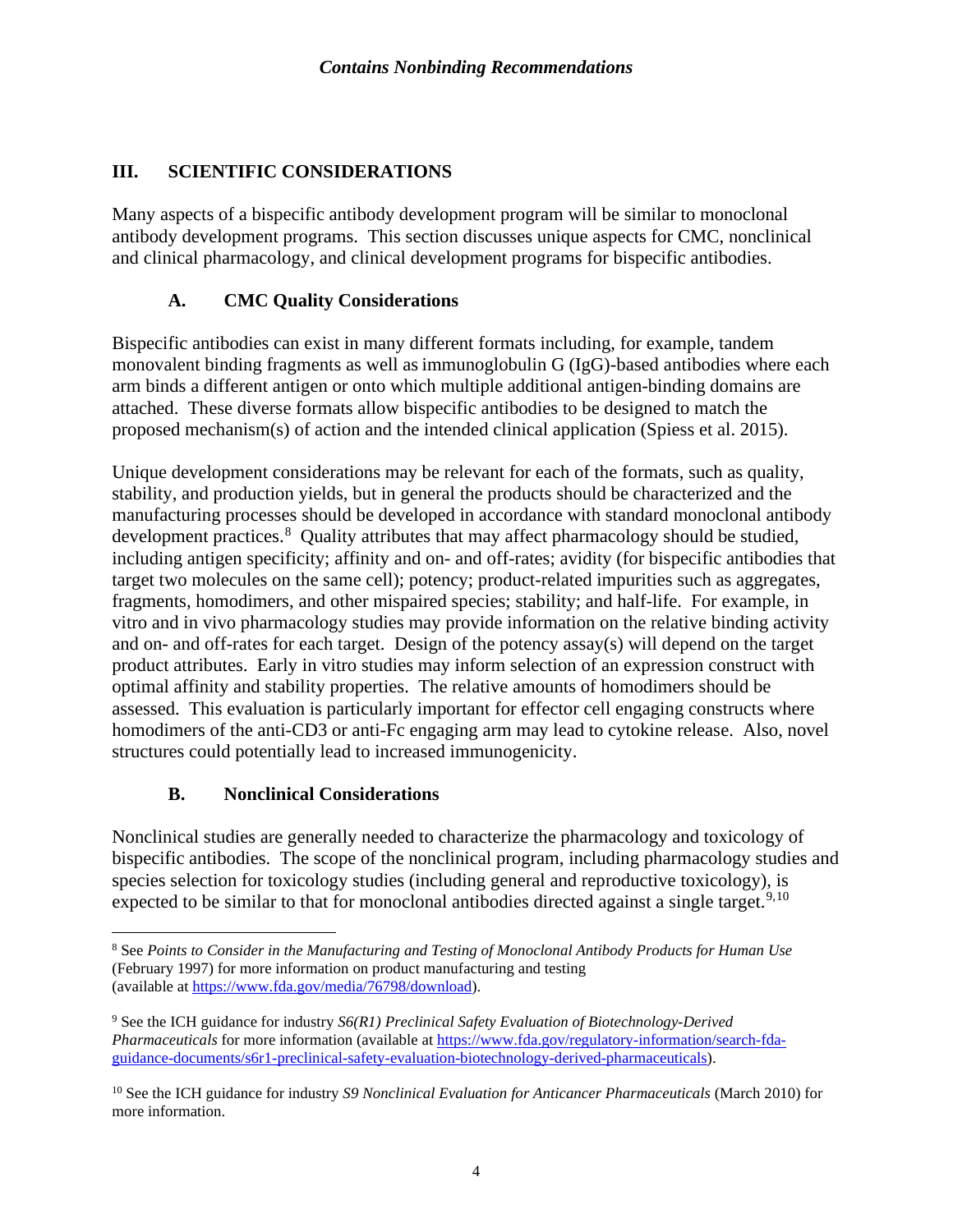#### <span id="page-6-0"></span>**III. SCIENTIFIC CONSIDERATIONS**

Many aspects of a bispecific antibody development program will be similar to monoclonal antibody development programs. This section discusses unique aspects for CMC, nonclinical and clinical pharmacology, and clinical development programs for bispecific antibodies.

#### **A. CMC Quality Considerations**

<span id="page-6-1"></span>Bispecific antibodies can exist in many different formats including, for example, tandem monovalent binding fragments as well asimmunoglobulin G (IgG)-based antibodies where each arm binds a different antigen or onto which multiple additional antigen-binding domains are attached. These diverse formats allow bispecific antibodies to be designed to match the proposed mechanism(s) of action and the intended clinical application (Spiess et al. 2015).

Unique development considerations may be relevant for each of the formats, such as quality, stability, and production yields, but in general the products should be characterized and the manufacturing processes should be developed in accordance with standard monoclonal antibody development practices.<sup>[8](#page-6-3)</sup> Quality attributes that may affect pharmacology should be studied, including antigen specificity; affinity and on- and off-rates; avidity (for bispecific antibodies that target two molecules on the same cell); potency; product-related impurities such as aggregates, fragments, homodimers, and other mispaired species; stability; and half-life. For example, in vitro and in vivo pharmacology studies may provide information on the relative binding activity and on- and off-rates for each target. Design of the potency assay(s) will depend on the target product attributes. Early in vitro studies may inform selection of an expression construct with optimal affinity and stability properties. The relative amounts of homodimers should be assessed. This evaluation is particularly important for effector cell engaging constructs where homodimers of the anti-CD3 or anti-Fc engaging arm may lead to cytokine release. Also, novel structures could potentially lead to increased immunogenicity.

#### **B. Nonclinical Considerations**

<span id="page-6-2"></span>Nonclinical studies are generally needed to characterize the pharmacology and toxicology of bispecific antibodies. The scope of the nonclinical program, including pharmacology studies and species selection for toxicology studies (including general and reproductive toxicology), is expected to be similar to that for monoclonal antibodies directed against a single target.<sup>[9](#page-6-4),[10](#page-6-5)</sup>

<span id="page-6-3"></span><sup>&</sup>lt;sup>8</sup> See *Points to Consider in the Manufacturing and Testing of Monoclonal Antibody Products for Human Use* (February 1997) for more information on product manufacturing and testing (available at [https://www.fda.gov/media/76798/download\)](https://www.fda.gov/media/76798/download).

<span id="page-6-4"></span><sup>9</sup> See the ICH guidance for industry *S6(R1) Preclinical Safety Evaluation of Biotechnology-Derived Pharmaceuticals* for more information (available at [https://www.fda.gov/regulatory-information/search-fda](https://www.fda.gov/regulatory-information/search-fda-guidance-documents/s6r1-preclinical-safety-evaluation-biotechnology-derived-pharmaceuticals)[guidance-documents/s6r1-preclinical-safety-evaluation-biotechnology-derived-pharmaceuticals\)](https://www.fda.gov/regulatory-information/search-fda-guidance-documents/s6r1-preclinical-safety-evaluation-biotechnology-derived-pharmaceuticals).

<span id="page-6-5"></span><sup>10</sup> See the ICH guidance for industry *S9 Nonclinical Evaluation for Anticancer Pharmaceuticals* (March 2010) for more information.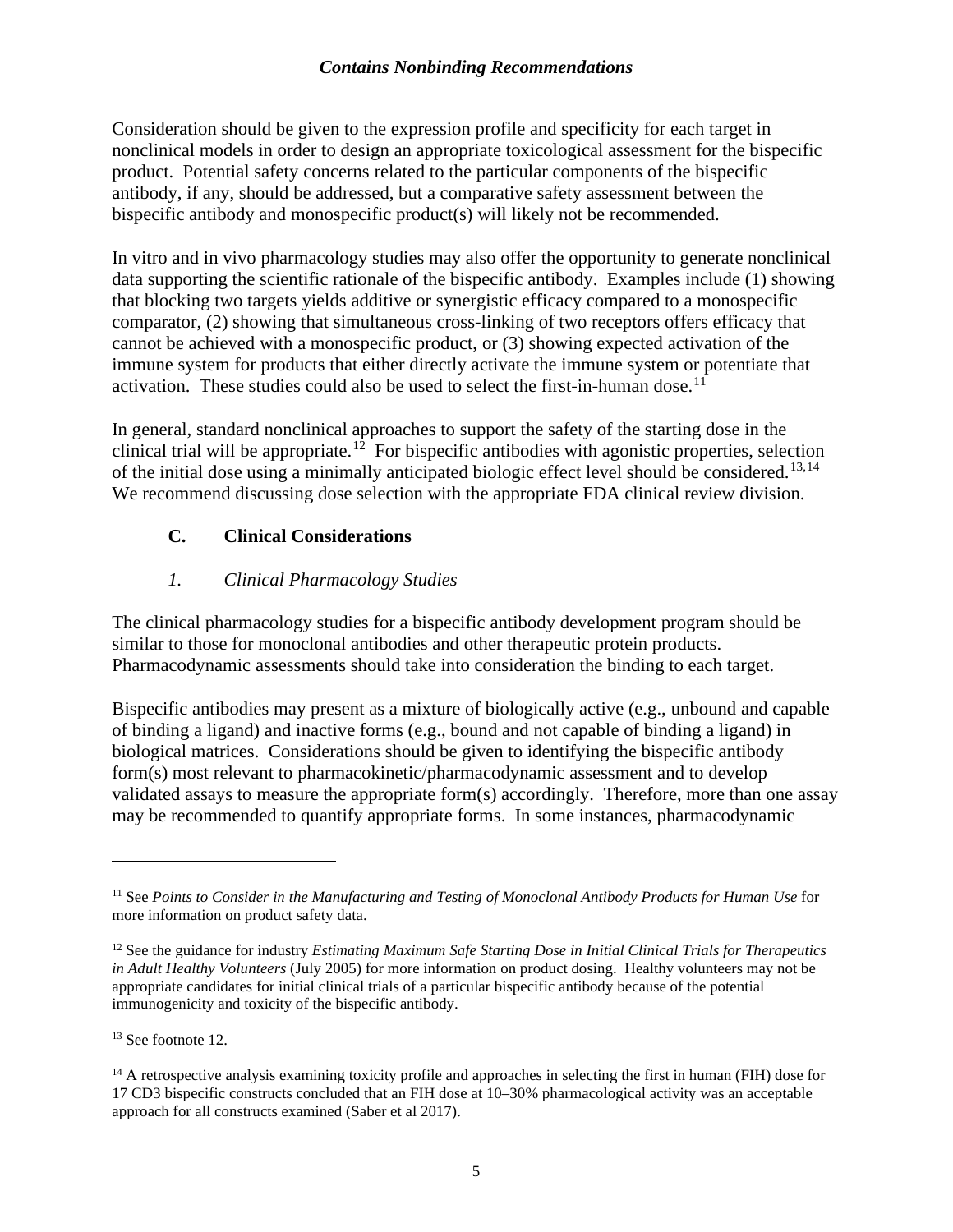Consideration should be given to the expression profile and specificity for each target in nonclinical models in order to design an appropriate toxicological assessment for the bispecific product. Potential safety concerns related to the particular components of the bispecific antibody, if any, should be addressed, but a comparative safety assessment between the bispecific antibody and monospecific product(s) will likely not be recommended.

In vitro and in vivo pharmacology studies may also offer the opportunity to generate nonclinical data supporting the scientific rationale of the bispecific antibody. Examples include (1) showing that blocking two targets yields additive or synergistic efficacy compared to a monospecific comparator, (2) showing that simultaneous cross-linking of two receptors offers efficacy that cannot be achieved with a monospecific product, or (3) showing expected activation of the immune system for products that either directly activate the immune system or potentiate that activation. These studies could also be used to select the first-in-human dose.<sup>[11](#page-7-2)</sup>

In general, standard nonclinical approaches to support the safety of the starting dose in the clinical trial will be appropriate.<sup>12</sup> For bispecific antibodies with agonistic properties, selection of the initial dose using a minimally anticipated biologic effect level should be considered.<sup>[13](#page-7-4),14</sup> We recommend discussing dose selection with the appropriate FDA clinical review division.

#### <span id="page-7-0"></span>**C. Clinical Considerations**

#### *1. Clinical Pharmacology Studies*

<span id="page-7-1"></span>The clinical pharmacology studies for a bispecific antibody development program should be similar to those for monoclonal antibodies and other therapeutic protein products. Pharmacodynamic assessments should take into consideration the binding to each target.

Bispecific antibodies may present as a mixture of biologically active (e.g., unbound and capable of binding a ligand) and inactive forms (e.g., bound and not capable of binding a ligand) in biological matrices. Considerations should be given to identifying the bispecific antibody form(s) most relevant to pharmacokinetic/pharmacodynamic assessment and to develop validated assays to measure the appropriate form(s) accordingly. Therefore, more than one assay may be recommended to quantify appropriate forms. In some instances, pharmacodynamic

<span id="page-7-4"></span><sup>13</sup> See footnote 12.

<span id="page-7-2"></span><sup>11</sup> See *Points to Consider in the Manufacturing and Testing of Monoclonal Antibody Products for Human Use* for more information on product safety data.

<span id="page-7-3"></span><sup>12</sup> See the guidance for industry *Estimating Maximum Safe Starting Dose in Initial Clinical Trials for Therapeutics in Adult Healthy Volunteers* (July 2005) for more information on product dosing. Healthy volunteers may not be appropriate candidates for initial clinical trials of a particular bispecific antibody because of the potential immunogenicity and toxicity of the bispecific antibody.

<span id="page-7-5"></span> $14$  A retrospective analysis examining toxicity profile and approaches in selecting the first in human (FIH) dose for 17 CD3 bispecific constructs concluded that an FIH dose at 10–30% pharmacological activity was an acceptable approach for all constructs examined (Saber et al 2017).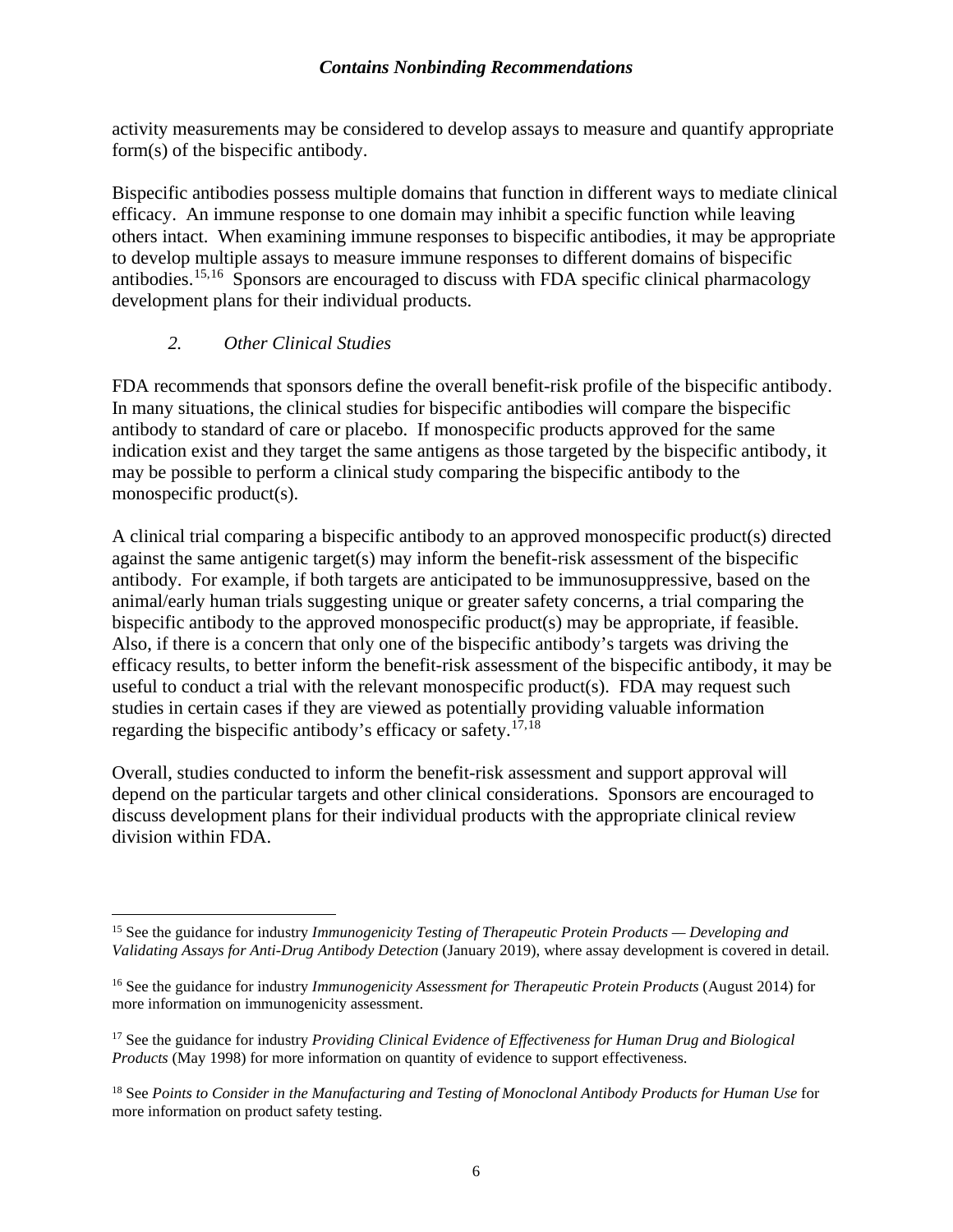activity measurements may be considered to develop assays to measure and quantify appropriate form(s) of the bispecific antibody.

Bispecific antibodies possess multiple domains that function in different ways to mediate clinical efficacy. An immune response to one domain may inhibit a specific function while leaving others intact. When examining immune responses to bispecific antibodies, it may be appropriate to develop multiple assays to measure immune responses to different domains of bispecific antibodies.<sup>[15,](#page-8-1)16</sup> Sponsors are encouraged to discuss with FDA specific clinical pharmacology development plans for their individual products.

#### *2. Other Clinical Studies*

<span id="page-8-0"></span>FDA recommends that sponsors define the overall benefit-risk profile of the bispecific antibody. In many situations, the clinical studies for bispecific antibodies will compare the bispecific antibody to standard of care or placebo. If monospecific products approved for the same indication exist and they target the same antigens as those targeted by the bispecific antibody, it may be possible to perform a clinical study comparing the bispecific antibody to the monospecific product(s).

A clinical trial comparing a bispecific antibody to an approved monospecific product(s) directed against the same antigenic target(s) may inform the benefit-risk assessment of the bispecific antibody. For example, if both targets are anticipated to be immunosuppressive, based on the animal/early human trials suggesting unique or greater safety concerns, a trial comparing the bispecific antibody to the approved monospecific product(s) may be appropriate, if feasible. Also, if there is a concern that only one of the bispecific antibody's targets was driving the efficacy results, to better inform the benefit-risk assessment of the bispecific antibody, it may be useful to conduct a trial with the relevant monospecific product(s). FDA may request such studies in certain cases if they are viewed as potentially providing valuable information regarding the bispecific antibody's efficacy or safety.[17,](#page-8-3)[18](#page-8-4) 

Overall, studies conducted to inform the benefit-risk assessment and support approval will depend on the particular targets and other clinical considerations. Sponsors are encouraged to discuss development plans for their individual products with the appropriate clinical review division within FDA.

<span id="page-8-1"></span><sup>15</sup> See the guidance for industry *Immunogenicity Testing of Therapeutic Protein Products — Developing and Validating Assays for Anti-Drug Antibody Detection* (January 2019), where assay development is covered in detail.

<span id="page-8-2"></span><sup>16</sup> See the guidance for industry *Immunogenicity Assessment for Therapeutic Protein Products* (August 2014) for more information on immunogenicity assessment.

<span id="page-8-3"></span><sup>&</sup>lt;sup>17</sup> See the guidance for industry *Providing Clinical Evidence of Effectiveness for Human Drug and Biological Products* (May 1998) for more information on quantity of evidence to support effectiveness.

<span id="page-8-4"></span><sup>&</sup>lt;sup>18</sup> See Points to Consider in the Manufacturing and Testing of Monoclonal Antibody Products for Human Use for more information on product safety testing.